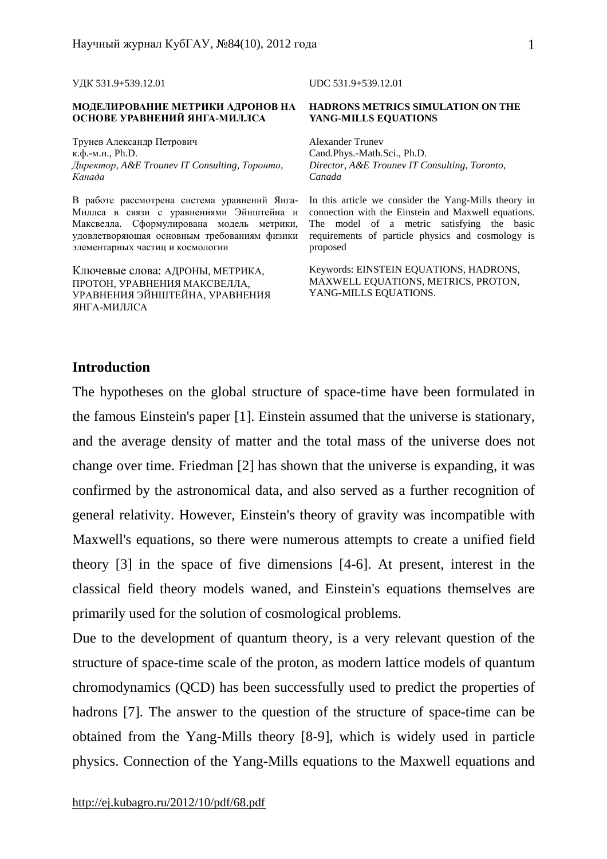УДК 531.9+539.12.01 UDC 531.9+539.12.01

#### **МОДЕЛИРОВАНИЕ МЕТРИКИ АДРОНОВ НА ОСНОВЕ УРАВНЕНИЙ ЯНГА-МИЛЛСА**

Трунев Александр Петрович к.ф.-м.н., Ph.D. *Директор, A&E Trounev IT Consulting, Торонто, Канада*

В работе рассмотрена система уравнений Янга-Миллса в связи с уравнениями Эйнштейна и Максвелла. Сформулирована модель метрики, удовлетворяющая основным требованиям физики элементарных частиц и космологии

Ключевые слова: АДРОНЫ, МЕТРИКА, ПРОТОН, УРАВНЕНИЯ МАКСВЕЛЛА, УРАВНЕНИЯ ЭЙНШТЕЙНА, УРАВНЕНИЯ ЯНГА-МИЛЛСА

#### **HADRONS METRICS SIMULATION ON THE YANG-MILLS EQUATIONS**

Alexander Trunev Cand.Phys.-Math.Sci., Ph.D. *Director, A&E Trounev IT Consulting, Toronto, Canada* 

In this article we consider the Yang-Mills theory in connection with the Einstein and Maxwell equations. The model of a metric satisfying the basic requirements of particle physics and cosmology is proposed

Keywords: EINSTEIN EQUATIONS, HADRONS, MAXWELL EQUATIONS, METRICS, PROTON, YANG-MILLS EQUATIONS.

# **Introduction**

The hypotheses on the global structure of space-time have been formulated in the famous Einstein's paper [1]. Einstein assumed that the universe is stationary, and the average density of matter and the total mass of the universe does not change over time. Friedman [2] has shown that the universe is expanding, it was confirmed by the astronomical data, and also served as a further recognition of general relativity. However, Einstein's theory of gravity was incompatible with Maxwell's equations, so there were numerous attempts to create a unified field theory [3] in the space of five dimensions [4-6]. At present, interest in the classical field theory models waned, and Einstein's equations themselves are primarily used for the solution of cosmological problems.

Due to the development of quantum theory, is a very relevant question of the structure of space-time scale of the proton, as modern lattice models of quantum chromodynamics (QCD) has been successfully used to predict the properties of hadrons [7]. The answer to the question of the structure of space-time can be obtained from the Yang-Mills theory [8-9], which is widely used in particle physics. Connection of the Yang-Mills equations to the Maxwell equations and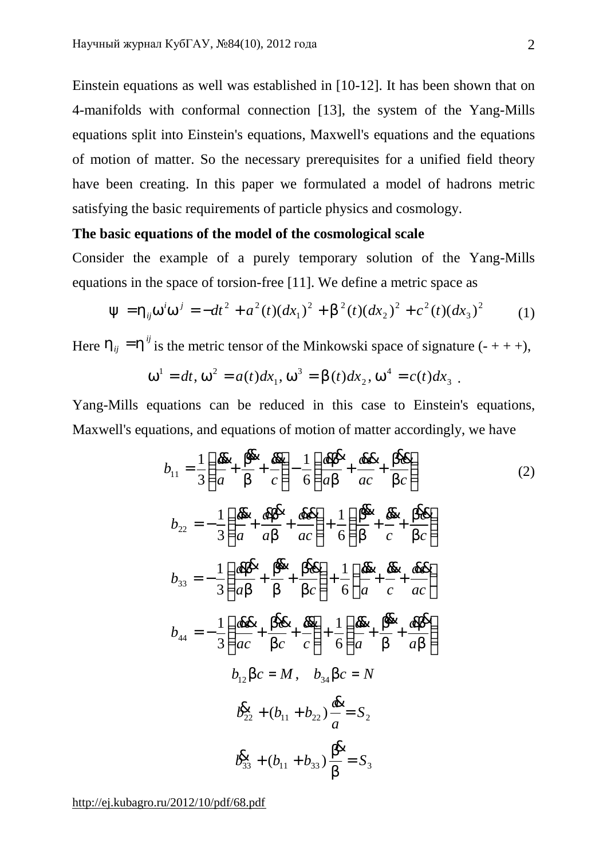Einstein equations as well was established in [10-12]. It has been shown that on 4-manifolds with conformal connection [13], the system of the Yang-Mills equations split into Einstein's equations, Maxwell's equations and the equations of motion of matter. So the necessary prerequisites for a unified field theory have been creating. In this paper we formulated a model of hadrons metric satisfying the basic requirements of particle physics and cosmology.

# **The basic equations of the model of the cosmological scale**

Consider the example of a purely temporary solution of the Yang-Mills equations in the space of torsion-free [11]. We define a metric space as

$$
y = h_{ij} w^{i} w^{j} = -dt^{2} + a^{2}(t)(dx_{1})^{2} + b^{2}(t)(dx_{2})^{2} + c^{2}(t)(dx_{3})^{2}
$$
 (1)

Here  $h_{ij} = h^{ij}$  is the metric tensor of the Minkowski space of signature (-+++),

$$
w1 = dt, w2 = a(t)dx1, w3 = b(t)dx2, w4 = c(t)dx3.
$$

Yang-Mills equations can be reduced in this case to Einstein's equations, Maxwell's equations, and equations of motion of matter accordingly, we have

$$
b_{11} = \frac{1}{3} \left( \frac{\mathbf{R}}{a} + \frac{\mathbf{B}}{b} + \frac{\mathbf{R}}{c} \right) - \frac{1}{6} \left( \frac{\mathbf{R}}{ab} + \frac{\mathbf{R}}{ac} + \frac{\mathbf{B}}{bc} \right)
$$
  
\n
$$
b_{22} = -\frac{1}{3} \left( \frac{\mathbf{R}}{a} + \frac{\mathbf{R}}{ab} + \frac{\mathbf{R}}{ac} \right) + \frac{1}{6} \left( \frac{\mathbf{B}}{b} + \frac{\mathbf{R}}{c} + \frac{\mathbf{B}}{bc} \right)
$$
  
\n
$$
b_{33} = -\frac{1}{3} \left( \frac{\mathbf{R}}{ab} + \frac{\mathbf{B}}{b} + \frac{\mathbf{B}}{bc} \right) + \frac{1}{6} \left( \frac{\mathbf{R}}{a} + \frac{\mathbf{R}}{c} + \frac{\mathbf{R}}{ac} \right)
$$
  
\n
$$
b_{44} = -\frac{1}{3} \left( \frac{\mathbf{R}}{ac} + \frac{\mathbf{B}}{bc} + \frac{\mathbf{R}}{c} \right) + \frac{1}{6} \left( \frac{\mathbf{R}}{a} + \frac{\mathbf{B}}{b} + \frac{\mathbf{R}}{ab} \right)
$$
  
\n
$$
b_{12}bc = M, \quad b_{34}bc = N
$$
  
\n
$$
\frac{\mathbf{R}}{\mathbf{B}} + (b_{11} + b_{22}) \frac{\mathbf{R}}{a} = S_2
$$
  
\n
$$
\frac{\mathbf{R}}{\mathbf{B}} + (b_{11} + b_{33}) \frac{\mathbf{B}}{b} = S_3
$$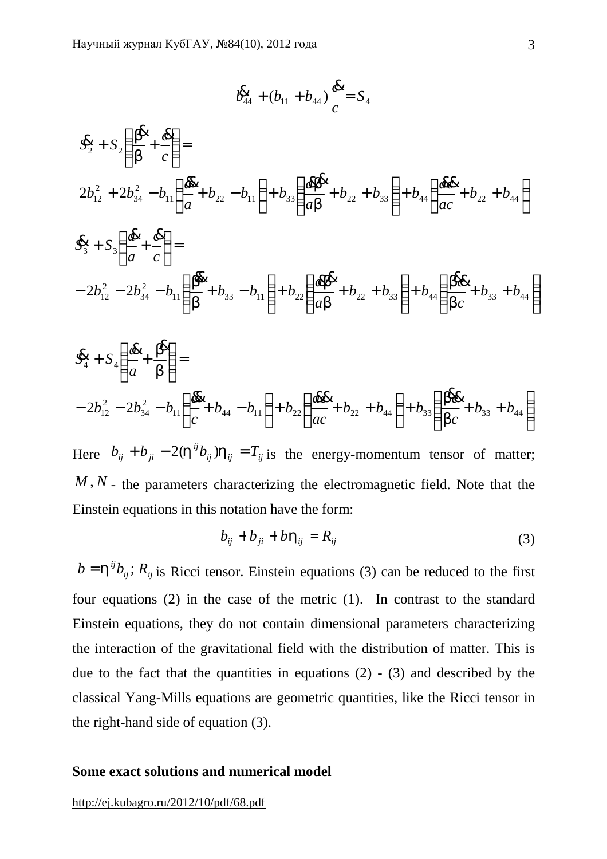$$
\mathbf{B}_{44}^{\mathbf{R}} + (b_{11} + b_{44}) \frac{\mathbf{R}}{c} = S_4
$$

$$
\mathbf{S}_{2}^{2} + S_{2} \left( \frac{\mathbf{B}^{2}}{b} + \frac{\mathbf{B}^{2}}{c} \right) =
$$
\n
$$
2b_{12}^{2} + 2b_{34}^{2} - b_{11} \left( \frac{\mathbf{B}^{2}}{a} + b_{22} - b_{11} \right) + b_{33} \left( \frac{\mathbf{B}^{2}}{ab} + b_{22} + b_{33} \right) + b_{44} \left( \frac{\mathbf{B}^{2}}{ac} + b_{22} + b_{44} \right)
$$
\n
$$
\mathbf{S}_{3}^{2} + S_{3} \left( \frac{\mathbf{B}^{2}}{a} + \frac{\mathbf{B}^{2}}{c} \right) =
$$
\n
$$
S_{1}^{2} + S_{2} \left( \frac{\mathbf{B}^{2}}{a} + \frac{\mathbf{B}^{2}}{c} \right) =
$$
\n
$$
S_{2}^{2} + S_{3} \left( \frac{\mathbf{B}^{2}}{a} + \frac{\mathbf{B}^{2}}{c} \right) = \left( \frac{\mathbf{B}^{2}}{a} + \frac{\mathbf{B}^{2}}{a} \right) + \left( \frac{\mathbf{B}^{2}}{a} + \frac{\mathbf{B}^{2}}{a} \right) + \left( \frac{\mathbf{B}^{2}}{a} \right) + \left( \frac{\mathbf{B}^{2}}{a} \right) + \left( \frac{\mathbf{B}^{2}}{a} \right) + \left( \frac{\mathbf{B}^{2}}{a} \right) + \left( \frac{\mathbf{B}^{2}}{a} \right) + \left( \frac{\mathbf{B}^{2}}{a} \right) + \left( \frac{\mathbf{B}^{2}}{a} \right) + \left( \frac{\mathbf{B}^{2}}{a} \right) + \left( \frac{\mathbf{B}^{2}}{a} \right) + \left( \frac{\mathbf{B}^{2}}{a} \right) + \left( \frac{\mathbf{B}^{2}}{a} \right) + \left( \frac{\mathbf{B}^{2}}{a} \right) + \left( \frac{\mathbf{B}^{2}}{a} \right) + \left( \frac{\mathbf{B}^{2}}{a} \right) + \left( \frac{\mathbf{B}^{2}}{a} \right) + \
$$

$$
-2b_{12}^2 - 2b_{34}^2 - b_{11}\left(\frac{B}{b} + b_{33} - b_{11}\right) + b_{22}\left(\frac{B}{ab} + b_{22} + b_{33}\right) + b_{44}\left(\frac{B}{bc} + b_{33} + b_{44}\right)
$$

$$
\mathbf{S}_{4}^{2} + S_{4} \left( \frac{\mathbf{A}}{a} + \frac{\mathbf{B}}{b} \right) =
$$
\n
$$
-2b_{12}^{2} - 2b_{34}^{2} - b_{11} \left( \frac{\mathbf{A}}{c} + b_{44} - b_{11} \right) + b_{22} \left( \frac{\mathbf{A}}{ac} + b_{22} + b_{44} \right) + b_{33} \left( \frac{\mathbf{B}}{bc} + b_{33} + b_{44} \right)
$$

Here  $b_{ij} + b_{ji} - 2(h^{ij}b_{ij})h_{ij} = T_{ij}$  is the energy-momentum tensor of matter; *M*, *N* - the parameters characterizing the electromagnetic field. Note that the Einstein equations in this notation have the form:

$$
b_{ij} + b_{ji} + b h_{ij} = R_{ij} \tag{3}
$$

 $b = h^{ij}b_{ij}$ ;  $R_{ij}$  is Ricci tensor. Einstein equations (3) can be reduced to the first four equations (2) in the case of the metric (1). In contrast to the standard Einstein equations, they do not contain dimensional parameters characterizing the interaction of the gravitational field with the distribution of matter. This is due to the fact that the quantities in equations  $(2)$  -  $(3)$  and described by the classical Yang-Mills equations are geometric quantities, like the Ricci tensor in the right-hand side of equation (3).

## **Some exact solutions and numerical model**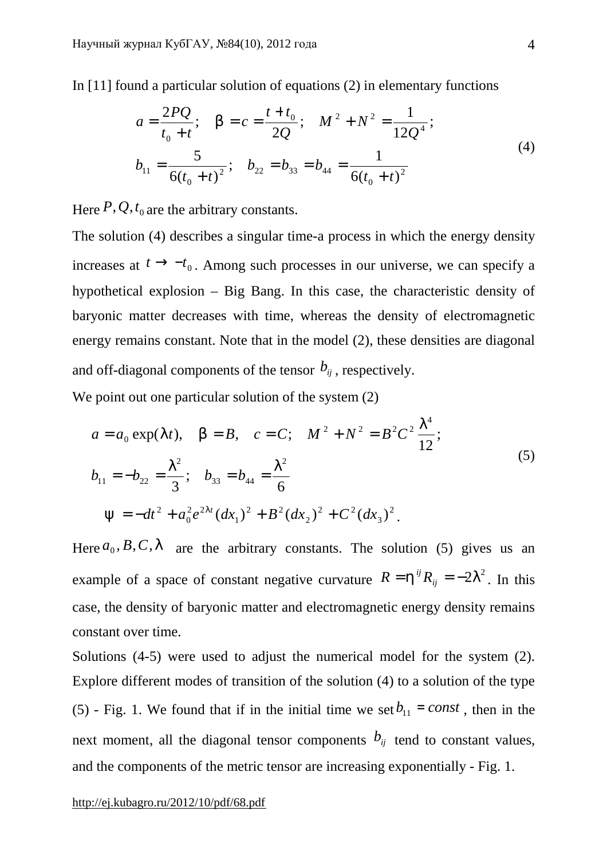In [11] found a particular solution of equations (2) in elementary functions

$$
a = \frac{2PQ}{t_0 + t}; \quad b = c = \frac{t + t_0}{2Q}; \quad M^2 + N^2 = \frac{1}{12Q^4};
$$
  
\n
$$
b_{11} = \frac{5}{6(t_0 + t)^2}; \quad b_{22} = b_{33} = b_{44} = \frac{1}{6(t_0 + t)^2}
$$
\n(4)

Here  $P$ ,  $Q$ ,  $t_0$  are the arbitrary constants.

The solution (4) describes a singular time-a process in which the energy density increases at  $t \to -t_0$ . Among such processes in our universe, we can specify a hypothetical explosion – Big Bang. In this case, the characteristic density of baryonic matter decreases with time, whereas the density of electromagnetic energy remains constant. Note that in the model (2), these densities are diagonal and off-diagonal components of the tensor  $b_{ij}$ , respectively.

We point out one particular solution of the system  $(2)$ 

$$
a = a_0 \exp(It), \quad b = B, \quad c = C; \quad M^2 + N^2 = B^2 C^2 \frac{I^4}{12};
$$
  
\n
$$
b_{11} = -b_{22} = \frac{I^2}{3}; \quad b_{33} = b_{44} = \frac{I^2}{6}
$$
  
\n
$$
y = -dt^2 + a_0^2 e^{2It} (dx_1)^2 + B^2 (dx_2)^2 + C^2 (dx_3)^2.
$$
\n(5)

Here  $a_0$ ,  $B$ ,  $C$ ,  $I$  are the arbitrary constants. The solution (5) gives us an example of a space of constant negative curvature  $R = h^{ij} R_{ij} = -2I^2$ . In this case, the density of baryonic matter and electromagnetic energy density remains constant over time.

Solutions (4-5) were used to adjust the numerical model for the system (2). Explore different modes of transition of the solution (4) to a solution of the type (5) - Fig. 1. We found that if in the initial time we set  $b_{11} = const$ , then in the next moment, all the diagonal tensor components  $b_{ij}$  tend to constant values, and the components of the metric tensor are increasing exponentially - Fig. 1.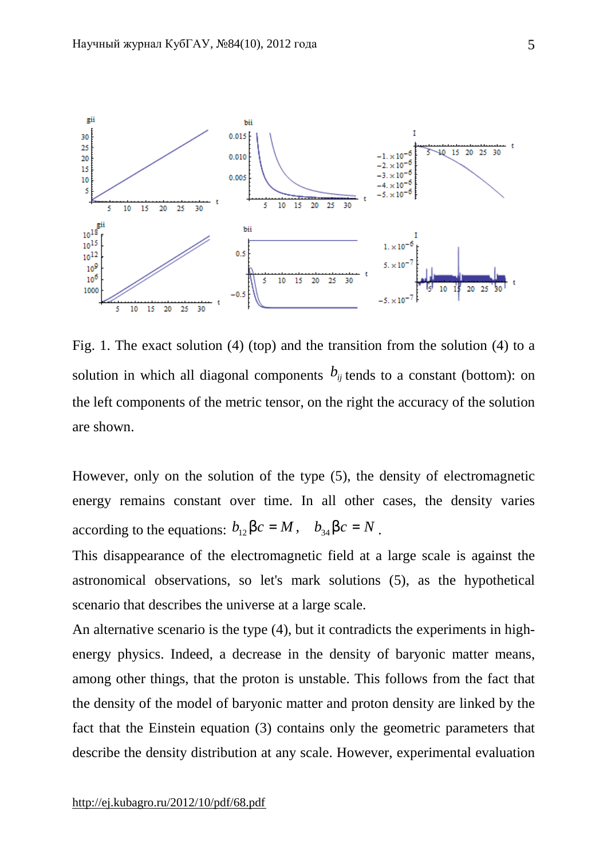

Fig. 1. The exact solution (4) (top) and the transition from the solution (4) to a solution in which all diagonal components  $b_{ii}$  tends to a constant (bottom): on the left components of the metric tensor, on the right the accuracy of the solution are shown.

However, only on the solution of the type (5), the density of electromagnetic energy remains constant over time. In all other cases, the density varies according to the equations:  $b_{12}$   $bc = M$ ,  $b_{34}$   $bc = N$ .

This disappearance of the electromagnetic field at a large scale is against the astronomical observations, so let's mark solutions (5), as the hypothetical scenario that describes the universe at a large scale.

An alternative scenario is the type (4), but it contradicts the experiments in highenergy physics. Indeed, a decrease in the density of baryonic matter means, among other things, that the proton is unstable. This follows from the fact that the density of the model of baryonic matter and proton density are linked by the fact that the Einstein equation (3) contains only the geometric parameters that describe the density distribution at any scale. However, experimental evaluation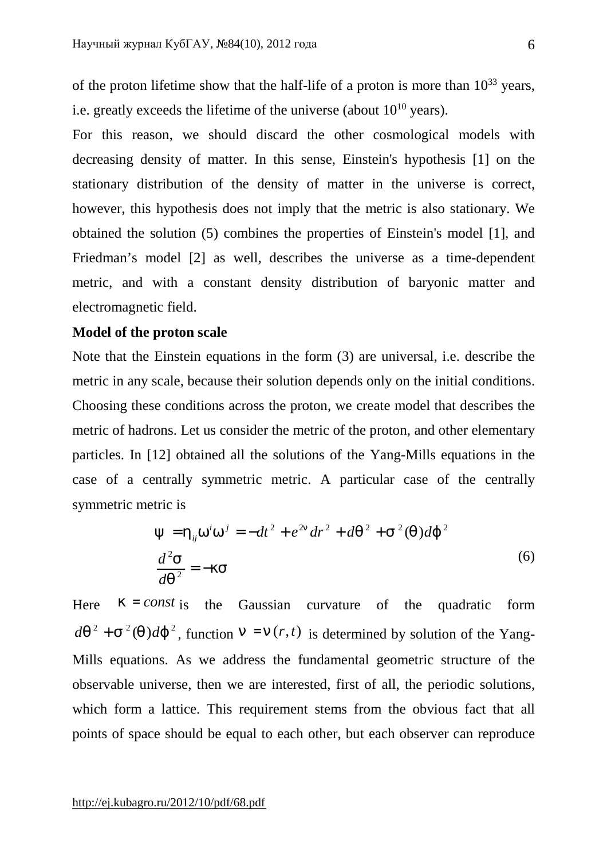of the proton lifetime show that the half-life of a proton is more than  $10^{33}$  years, i.e. greatly exceeds the lifetime of the universe (about  $10^{10}$  years).

For this reason, we should discard the other cosmological models with decreasing density of matter. In this sense, Einstein's hypothesis [1] on the stationary distribution of the density of matter in the universe is correct, however, this hypothesis does not imply that the metric is also stationary. We obtained the solution (5) combines the properties of Einstein's model [1], and Friedman's model [2] as well, describes the universe as a time-dependent metric, and with a constant density distribution of baryonic matter and electromagnetic field.

### **Model of the proton scale**

Note that the Einstein equations in the form (3) are universal, i.e. describe the metric in any scale, because their solution depends only on the initial conditions. Choosing these conditions across the proton, we create model that describes the metric of hadrons. Let us consider the metric of the proton, and other elementary particles. In [12] obtained all the solutions of the Yang-Mills equations in the case of a centrally symmetric metric. A particular case of the centrally symmetric metric is

$$
y = h_{ij} w^{i} w^{j} = -dt^{2} + e^{2n} dr^{2} + dq^{2} + s^{2} (q) dj^{2}
$$
  

$$
\frac{d^{2} s}{dq^{2}} = -ks
$$
 (6)

Here  $k = const$  is the Gaussian curvature of the quadratic form  $dq^{2} + S^{2}(q)dj^{2}$ , function  $n = n(r, t)$  is determined by solution of the Yang-Mills equations. As we address the fundamental geometric structure of the observable universe, then we are interested, first of all, the periodic solutions, which form a lattice. This requirement stems from the obvious fact that all points of space should be equal to each other, but each observer can reproduce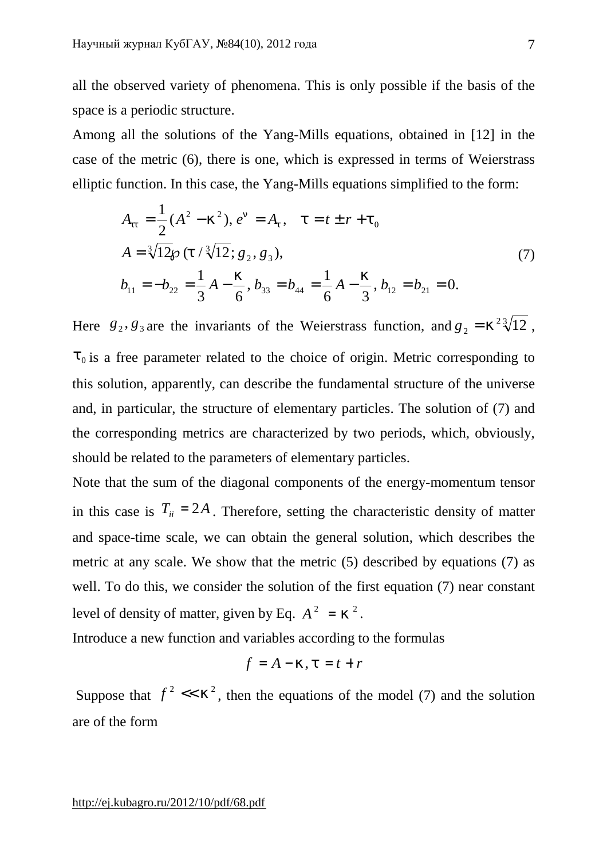all the observed variety of phenomena. This is only possible if the basis of the space is a periodic structure.

Among all the solutions of the Yang-Mills equations, obtained in [12] in the case of the metric (6), there is one, which is expressed in terms of Weierstrass elliptic function. In this case, the Yang-Mills equations simplified to the form:

$$
A_{tt} = \frac{1}{2} (A^2 - k^2), e^{it} = A_t, \quad t = t \pm r + t_0
$$
  
\n
$$
A = \sqrt[3]{12} \wp(t / \sqrt[3]{12}; g_2, g_3),
$$
  
\n
$$
b_{11} = -b_{22} = \frac{1}{3} A - \frac{k}{6}, b_{33} = b_{44} = \frac{1}{6} A - \frac{k}{3}, b_{12} = b_{21} = 0.
$$
\n(7)

Here  $g_2$ ,  $g_3$  are the invariants of the Weierstrass function, and  $g_2 = k^2 \sqrt[3]{12}$ ,  $t_0$  is a free parameter related to the choice of origin. Metric corresponding to this solution, apparently, can describe the fundamental structure of the universe and, in particular, the structure of elementary particles. The solution of (7) and the corresponding metrics are characterized by two periods, which, obviously, should be related to the parameters of elementary particles.

Note that the sum of the diagonal components of the energy-momentum tensor in this case is  $T_{ii} = 2A$ . Therefore, setting the characteristic density of matter and space-time scale, we can obtain the general solution, which describes the metric at any scale. We show that the metric (5) described by equations (7) as well. To do this, we consider the solution of the first equation (7) near constant level of density of matter, given by Eq.  $A^2 = k^2$ .

Introduce a new function and variables according to the formulas

$$
f = A - k, t = t + r
$$

Suppose that  $f^2 \ll k^2$ , then the equations of the model (7) and the solution are of the form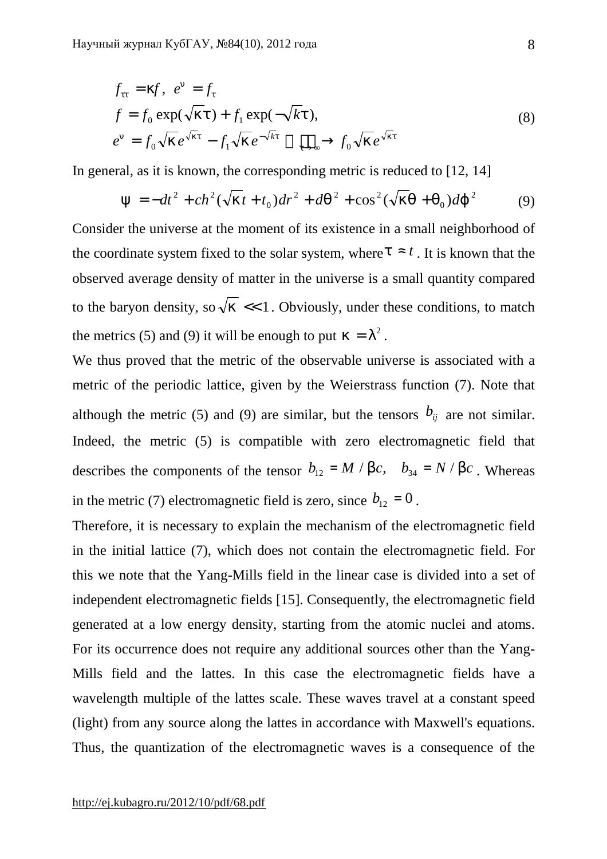$$
f_{tt} = kf, e^n = f_t
$$
  
\n
$$
f = f_0 \exp(\sqrt{kt}) + f_1 \exp(-\sqrt{kt}),
$$
  
\n
$$
e^n = f_0 \sqrt{ke^{\sqrt{kt}}} - f_1 \sqrt{ke^{-\sqrt{kt}}} \xrightarrow[t \to \infty]{} f_0 \sqrt{ke^{\sqrt{kt}}}
$$
\n(8)

In general, as it is known, the corresponding metric is reduced to [12, 14]

$$
y = -dt^{2} + ch^{2}(\sqrt{kt} + t_{0})dr^{2} + dq^{2} + \cos^{2}(\sqrt{kt}q + q_{0})dj^{2}
$$
 (9)

Consider the universe at the moment of its existence in a small neighborhood of the coordinate system fixed to the solar system, where  $t \approx t$ . It is known that the observed average density of matter in the universe is a small quantity compared to the baryon density, so  $\sqrt{k}$  << 1. Obviously, under these conditions, to match the metrics (5) and (9) it will be enough to put  $k = l^2$ .

We thus proved that the metric of the observable universe is associated with a metric of the periodic lattice, given by the Weierstrass function (7). Note that although the metric (5) and (9) are similar, but the tensors  $b_{ij}$  are not similar. Indeed, the metric (5) is compatible with zero electromagnetic field that describes the components of the tensor  $b_{12} = M / bc$ ,  $b_{34} = N / bc$ . Whereas in the metric (7) electromagnetic field is zero, since  $b_{12} = 0$ .

Therefore, it is necessary to explain the mechanism of the electromagnetic field in the initial lattice (7), which does not contain the electromagnetic field. For this we note that the Yang-Mills field in the linear case is divided into a set of independent electromagnetic fields [15]. Consequently, the electromagnetic field generated at a low energy density, starting from the atomic nuclei and atoms. For its occurrence does not require any additional sources other than the Yang-Mills field and the lattes. In this case the electromagnetic fields have a wavelength multiple of the lattes scale. These waves travel at a constant speed (light) from any source along the lattes in accordance with Maxwell's equations. Thus, the quantization of the electromagnetic waves is a consequence of the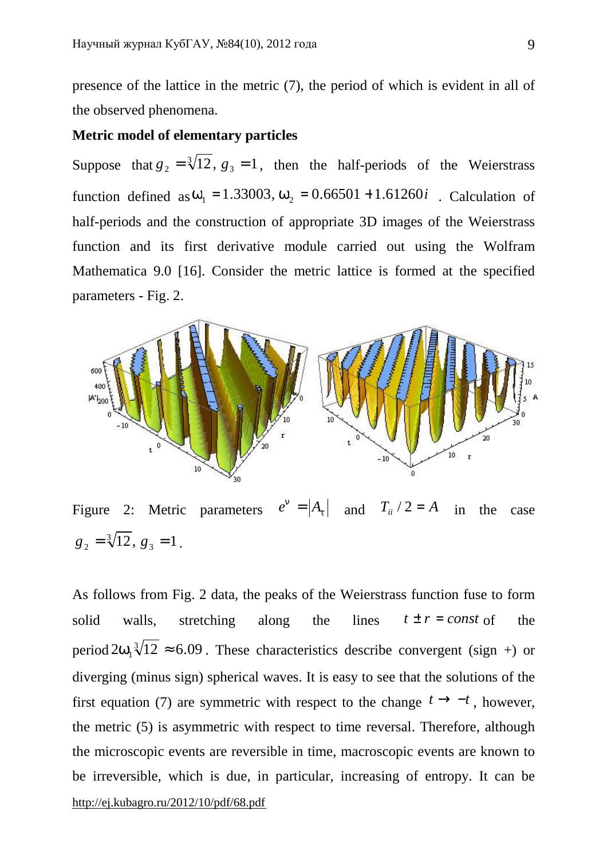presence of the lattice in the metric (7), the period of which is evident in all of the observed phenomena.

# **Metric model of elementary particles**

Suppose that  $g_2 = \sqrt[3]{12}$ ,  $g_3 = 1$ , then the half-periods of the Weierstrass function defined as  $W_1 = 1.33003$ ,  $W_2 = 0.66501 + 1.61260i$ . Calculation of half-periods and the construction of appropriate 3D images of the Weierstrass function and its first derivative module carried out using the Wolfram Mathematica 9.0 [16]. Consider the metric lattice is formed at the specified parameters - Fig. 2.



Figure 2: Metric parameters  $e^n = |A_t|$  and  $T_i / 2 = A$  in the case  $g_2 = \sqrt[3]{12}, g_3 = 1$ .

<http://ej.kubagro.ru/2012/10/pdf/68.pdf> As follows from Fig. 2 data, the peaks of the Weierstrass function fuse to form solid walls, stretching along the lines  $t \pm r = const$  of the period  $2w_1 \sqrt[3]{12} \approx 6.09$ . These characteristics describe convergent (sign +) or diverging (minus sign) spherical waves. It is easy to see that the solutions of the first equation (7) are symmetric with respect to the change  $t \rightarrow -t$ , however, the metric (5) is asymmetric with respect to time reversal. Therefore, although the microscopic events are reversible in time, macroscopic events are known to be irreversible, which is due, in particular, increasing of entropy. It can be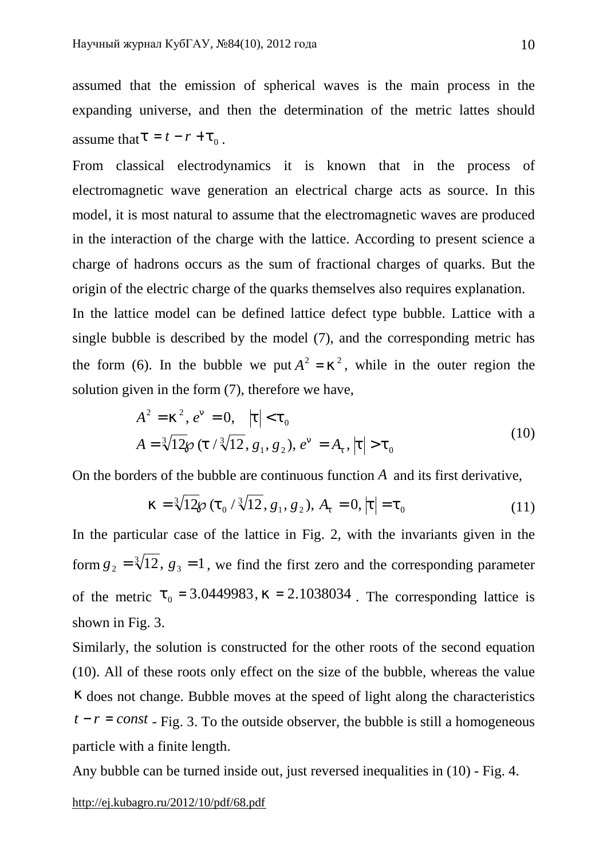assumed that the emission of spherical waves is the main process in the expanding universe, and then the determination of the metric lattes should assume that  $\bar{t} = t - r + t_0$ .

From classical electrodynamics it is known that in the process of electromagnetic wave generation an electrical charge acts as source. In this model, it is most natural to assume that the electromagnetic waves are produced in the interaction of the charge with the lattice. According to present science a charge of hadrons occurs as the sum of fractional charges of quarks. But the origin of the electric charge of the quarks themselves also requires explanation.

In the lattice model can be defined lattice defect type bubble. Lattice with a single bubble is described by the model (7), and the corresponding metric has the form (6). In the bubble we put  $A^2 = k^2$ , while in the outer region the solution given in the form (7), therefore we have,

$$
A^{2} = k^{2}, e^{n} = 0, \quad |t| < t_{0}
$$
  
\n
$$
A = \sqrt[3]{12\omega(t/\sqrt[3]{12}, g_{1}, g_{2})}, e^{n} = A_{t}, |t| > t_{0}
$$
\n(10)

On the borders of the bubble are continuous function *A* and its first derivative,

$$
\mathbf{k} = \sqrt[3]{12} \wp(\mathbf{t}_0 / \sqrt[3]{12}, \mathbf{g}_1, \mathbf{g}_2), \, A_t = 0, |\mathbf{t}| = \mathbf{t}_0 \tag{11}
$$

In the particular case of the lattice in Fig. 2, with the invariants given in the form  $g_2 = \sqrt[3]{12}$ ,  $g_3 = 1$ , we find the first zero and the corresponding parameter of the metric  $t_0 = 3.0449983$ ,  $k = 2.1038034$ . The corresponding lattice is shown in Fig. 3.

Similarly, the solution is constructed for the other roots of the second equation (10). All of these roots only effect on the size of the bubble, whereas the value *k* does not change. Bubble moves at the speed of light along the characteristics  $t - r = const$  - Fig. 3. To the outside observer, the bubble is still a homogeneous particle with a finite length.

Any bubble can be turned inside out, just reversed inequalities in (10) - Fig. 4.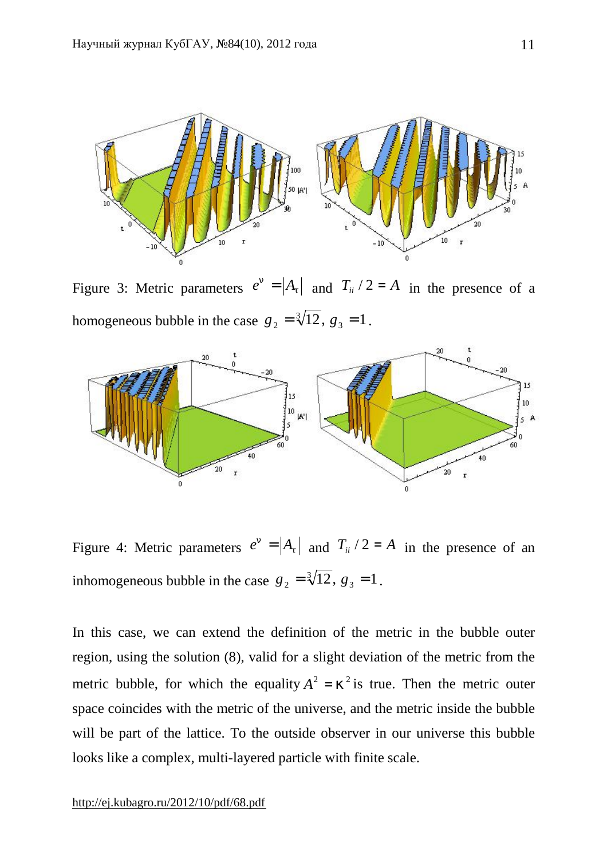

Figure 3: Metric parameters  $e^{n} = |A_t|$  and  $T_i / 2 = A$  in the presence of a homogeneous bubble in the case  $g_2 = \sqrt[3]{12}$ ,  $g_3 = 1$ .



Figure 4: Metric parameters  $e^{n} = |A_t|$  and  $T_i / 2 = A$  in the presence of an inhomogeneous bubble in the case  $g_2 = \sqrt[3]{12}$ ,  $g_3 = 1$ .

In this case, we can extend the definition of the metric in the bubble outer region, using the solution (8), valid for a slight deviation of the metric from the metric bubble, for which the equality  $A^2 = k^2$  is true. Then the metric outer space coincides with the metric of the universe, and the metric inside the bubble will be part of the lattice. To the outside observer in our universe this bubble looks like a complex, multi-layered particle with finite scale.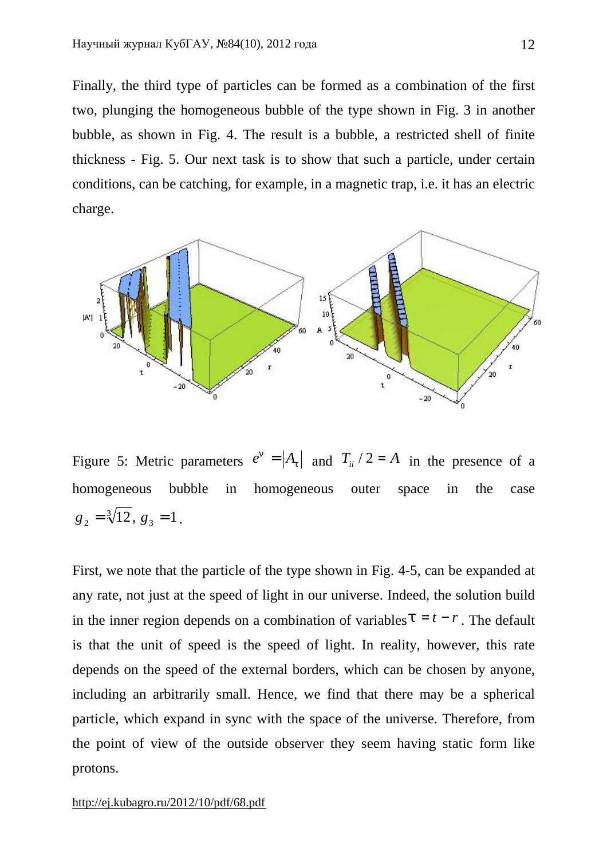Finally, the third type of particles can be formed as a combination of the first two, plunging the homogeneous bubble of the type shown in Fig. 3 in another bubble, as shown in Fig. 4. The result is a bubble, a restricted shell of finite thickness - Fig. 5. Our next task is to show that such a particle, under certain conditions, can be catching, for example, in a magnetic trap, i.e. it has an electric charge.



Figure 5: Metric parameters  $e^{n} = |A_t|$  and  $T_i / 2 = A$  in the presence of a homogeneous bubble in homogeneous outer space in the case  $g_2 = \sqrt[3]{12}, g_3 = 1$ .

First, we note that the particle of the type shown in Fig. 4-5, can be expanded at any rate, not just at the speed of light in our universe. Indeed, the solution build in the inner region depends on a combination of variables  $t = t - r$ . The default is that the unit of speed is the speed of light. In reality, however, this rate depends on the speed of the external borders, which can be chosen by anyone, including an arbitrarily small. Hence, we find that there may be a spherical particle, which expand in sync with the space of the universe. Therefore, from the point of view of the outside observer they seem having static form like protons.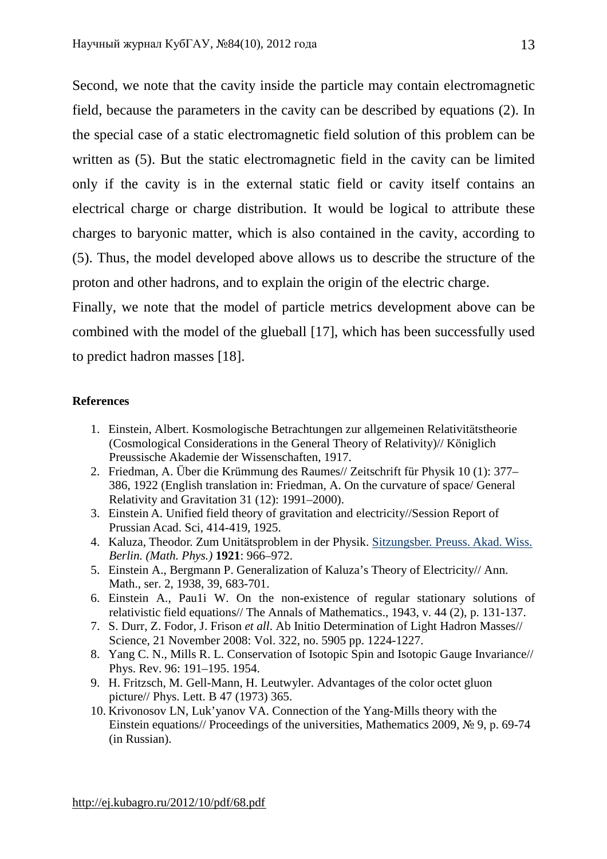Second, we note that the cavity inside the particle may contain electromagnetic field, because the parameters in the cavity can be described by equations (2). In the special case of a static electromagnetic field solution of this problem can be written as  $(5)$ . But the static electromagnetic field in the cavity can be limited only if the cavity is in the external static field or cavity itself contains an electrical charge or charge distribution. It would be logical to attribute these charges to baryonic matter, which is also contained in the cavity, according to (5). Thus, the model developed above allows us to describe the structure of the proton and other hadrons, and to explain the origin of the electric charge.

Finally, we note that the model of particle metrics development above can be combined with the model of the glueball [17], which has been successfully used to predict hadron masses [18].

#### **References**

- 1. Einstein, Albert. Kosmologische Betrachtungen zur allgemeinen Relativitätstheorie (Cosmological Considerations in the General Theory of Relativity)// Königlich Preussische Akademie der Wissenschaften, 1917.
- 2. Friedman, A. Über die Krümmung des Raumes// Zeitschrift für Physik 10 (1): 377– 386, 1922 (English translation in: Friedman, A. On the curvature of space/ General Relativity and Gravitation 31 (12): 1991–2000).
- 3. Einstein A. Unified field theory of gravitation and electricity//Session Report of Prussian Acad. Sci, 414-419, 1925.
- 4. Kaluza, Theodor. Zum Unitätsproblem in der Physik. Sitzungsber. Preuss. Akad. Wiss. *Berlin. (Math. Phys.)* **1921**: 966–972.
- 5. Einstein A., Bergmann P. Generalization of Kaluza's Theory of Electricity// Ann. Math., ser. 2, 1938, 39, 683-701.
- 6. Einstein A., Pau1i W. On the non-existence of regular stationary solutions of relativistic field equations// The Annals of Mathematics., 1943, v. 44 (2), p. 131-137.
- 7. S. Durr, Z. Fodor, J. Frison *et all*. Ab Initio Determination of Light Hadron Masses// Science, 21 November 2008: Vol. 322, no. 5905 pp. 1224-1227.
- 8. Yang C. N., Mills R. L. Conservation of Isotopic Spin and Isotopic Gauge Invariance// Phys. Rev. 96: 191–195. 1954.
- 9. H. Fritzsch, M. Gell-Mann, H. Leutwyler. Advantages of the color octet gluon picture// Phys. Lett. B 47 (1973) 365.
- 10. Krivonosov LN, Luk'yanov VA. Connection of the Yang-Mills theory with the Einstein equations// Proceedings of the universities, Mathematics 2009,  $\mathcal{N}_2$  9, p. 69-74 (in Russian).